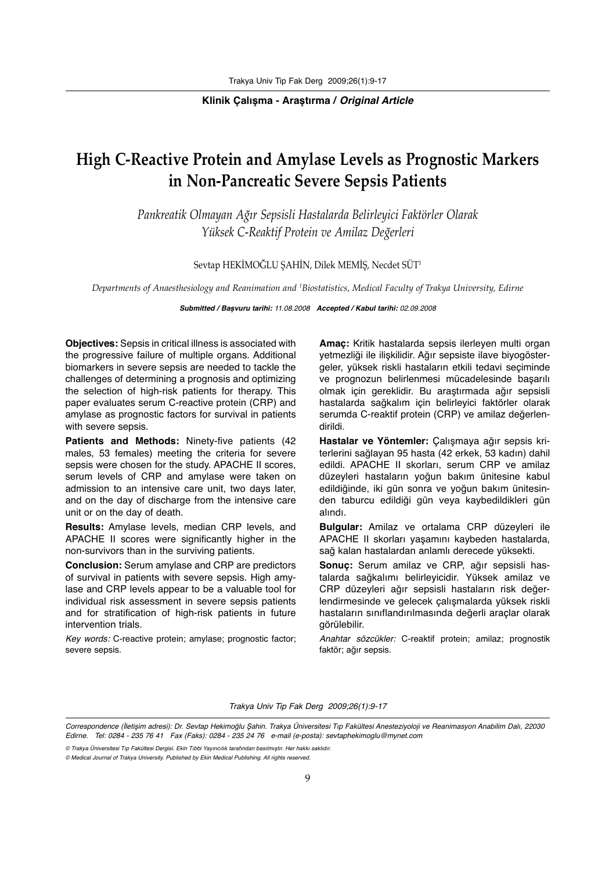#### **Klinik Çalışma - Araştırma /** *Original Article*

# **High C-Reactive Protein and Amylase Levels as Prognostic Markers in Non-Pancreatic Severe Sepsis Patients**

*Pankreatik Olmayan Ağır Sepsisli Hastalarda Belirleyici Faktörler Olarak Yüksek C-Reaktif Protein ve Amilaz Değerleri*

Sevtap HEKİMOĞLU ŞAHİN, Dilek MEMİŞ, Necdet SÜT1

*Departments of Anaesthesiology and Reanimation and 1 Biostatistics, Medical Faculty of Trakya University, Edirne*

*Submitted / Başvuru tarihi:* 11.08.2008 *Accepted / Kabul tarihi:* 02.09.2008

**Objectives:** Sepsis in critical illness is associated with the progressive failure of multiple organs. Additional biomarkers in severe sepsis are needed to tackle the challenges of determining a prognosis and optimizing the selection of high-risk patients for therapy. This paper evaluates serum C-reactive protein (CRP) and amylase as prognostic factors for survival in patients with severe sepsis.

**Patients and Methods:** Ninety-five patients (42 males, 53 females) meeting the criteria for severe sepsis were chosen for the study. APACHE II scores, serum levels of CRP and amylase were taken on admission to an intensive care unit, two days later, and on the day of discharge from the intensive care unit or on the day of death.

**Results:** Amylase levels, median CRP levels, and APACHE II scores were significantly higher in the non-survivors than in the surviving patients.

**Conclusion:** Serum amylase and CRP are predictors of survival in patients with severe sepsis. High amylase and CRP levels appear to be a valuable tool for individual risk assessment in severe sepsis patients and for stratification of high-risk patients in future intervention trials.

Key words: C-reactive protein; amylase; prognostic factor; severe sepsis.

**Amaç:** Kritik hastalarda sepsis ilerleyen multi organ yetmezliği ile ilişkilidir. Ağır sepsiste ilave biyogöstergeler, yüksek riskli hastaların etkili tedavi seçiminde ve prognozun belirlenmesi mücadelesinde başarılı olmak için gereklidir. Bu araştırmada ağır sepsisli hastalarda sağkalım için belirleyici faktörler olarak serumda C-reaktif protein (CRP) ve amilaz değerlendirildi.

**Hastalar ve Yöntemler:** Çalışmaya ağır sepsis kriterlerini sağlayan 95 hasta (42 erkek, 53 kadın) dahil edildi. APACHE II skorları, serum CRP ve amilaz düzeyleri hastaların yoğun bakım ünitesine kabul edildiğinde, iki gün sonra ve yoğun bakım ünitesinden taburcu edildiği gün veya kaybedildikleri gün alındı.

**Bulgular:** Amilaz ve ortalama CRP düzeyleri ile APACHE II skorları yaşamını kaybeden hastalarda, sağ kalan hastalardan anlamlı derecede yüksekti.

**Sonuç:** Serum amilaz ve CRP, ağır sepsisli hastalarda sağkalımı belirleyicidir. Yüksek amilaz ve CRP düzeyleri ağır sepsisli hastaların risk değerlendirmesinde ve gelecek çalışmalarda yüksek riskli hastaların sınıflandırılmasında değerli araçlar olarak görülebilir.

Anahtar sözcükler: C-reaktif protein; amilaz; prognostik faktör; ağır sepsis.

Trakya Univ Tip Fak Derg 2009;26(1):9-17

Correspondence (İletişim adresi): Dr. Sevtap Hekimoğlu Şahin. Trakya Üniversitesi Tıp Fakültesi Anesteziyoloji ve Reanimasyon Anabilim Dalı, 22030 Edirne. Tel: 0284 - 235 76 41 Fax (Faks): 0284 - 235 24 76 e-mail (e-posta): sevtaphekimoglu@mynet.com

<sup>©</sup> Trakya Üniversitesi Tıp Fakültesi Dergisi. Ekin Tıbbi Yayıncılık tarafından basılmıştır. Her hakkı saklıdır.

<sup>©</sup> Medical Journal of Trakya University. Published by Ekin Medical Publishing. All rights reserved.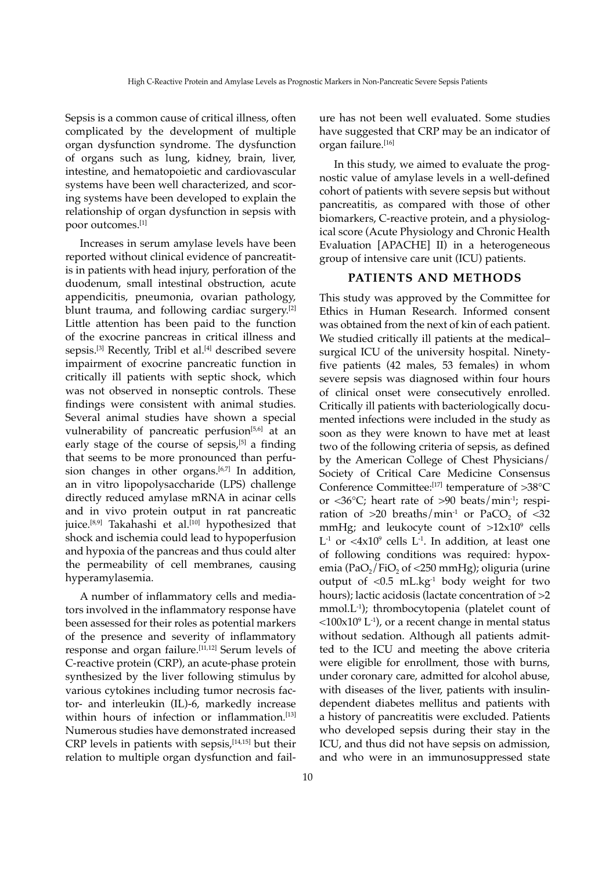Sepsis is a common cause of critical illness, often complicated by the development of multiple organ dysfunction syndrome. The dysfunction of organs such as lung, kidney, brain, liver, intestine, and hematopoietic and cardiovascular systems have been well characterized, and scoring systems have been developed to explain the relationship of organ dysfunction in sepsis with poor outcomes.[1]

Increases in serum amylase levels have been reported without clinical evidence of pancreatitis in patients with head injury, perforation of the duodenum, small intestinal obstruction, acute appendicitis, pneumonia, ovarian pathology, blunt trauma, and following cardiac surgery.<sup>[2]</sup> Little attention has been paid to the function of the exocrine pancreas in critical illness and sepsis.<sup>[3]</sup> Recently, Tribl et al.<sup>[4]</sup> described severe impairment of exocrine pancreatic function in critically ill patients with septic shock, which was not observed in nonseptic controls. These findings were consistent with animal studies. Several animal studies have shown a special vulnerability of pancreatic perfusion<sup>[5,6]</sup> at an early stage of the course of sepsis,<sup>[5]</sup> a finding that seems to be more pronounced than perfusion changes in other organs.<sup>[6,7]</sup> In addition, an in vitro lipopolysaccharide (LPS) challenge directly reduced amylase mRNA in acinar cells and in vivo protein output in rat pancreatic juice.<sup>[8,9]</sup> Takahashi et al.<sup>[10]</sup> hypothesized that shock and ischemia could lead to hypoperfusion and hypoxia of the pancreas and thus could alter the permeability of cell membranes, causing hyperamylasemia.

A number of inflammatory cells and mediators involved in the inflammatory response have been assessed for their roles as potential markers of the presence and severity of inflammatory response and organ failure.[11,12] Serum levels of C-reactive protein (CRP), an acute-phase protein synthesized by the liver following stimulus by various cytokines including tumor necrosis factor- and interleukin (IL)-6, markedly increase within hours of infection or inflammation.<sup>[13]</sup> Numerous studies have demonstrated increased CRP levels in patients with sepsis,  $[14,15]$  but their relation to multiple organ dysfunction and failure has not been well evaluated. Some studies have suggested that CRP may be an indicator of organ failure.[16]

In this study, we aimed to evaluate the prognostic value of amylase levels in a well-defined cohort of patients with severe sepsis but without pancreatitis, as compared with those of other biomarkers, C-reactive protein, and a physiological score (Acute Physiology and Chronic Health Evaluation [APACHE] II) in a heterogeneous group of intensive care unit (ICU) patients.

## **PATIENTS AND METHODS**

This study was approved by the Committee for Ethics in Human Research. Informed consent was obtained from the next of kin of each patient. We studied critically ill patients at the medical– surgical ICU of the university hospital. Ninetyfive patients (42 males, 53 females) in whom severe sepsis was diagnosed within four hours of clinical onset were consecutively enrolled. Critically ill patients with bacteriologically documented infections were included in the study as soon as they were known to have met at least two of the following criteria of sepsis, as defined by the American College of Chest Physicians/ Society of Critical Care Medicine Consensus Conference Committee:[17] temperature of >38°C or <36 $^{\circ}$ C; heart rate of >90 beats/min<sup>-1</sup>; respiration of  $>20$  breaths/min<sup>-1</sup> or PaCO<sub>2</sub> of  $<$ 32 mmHg; and leukocyte count of  $>12x10^9$  cells  $L^{-1}$  or  $\langle 4x10^\circ$  cells  $L^{-1}$ . In addition, at least one of following conditions was required: hypoxemia (PaO<sub>2</sub>/FiO<sub>2</sub> of <250 mmHg); oliguria (urine output of <0.5 mL.kg-1 body weight for two hours); lactic acidosis (lactate concentration of  $>2$ mmol.L-1); thrombocytopenia (platelet count of  $\langle 100x10^\circ L^{-1} \rangle$ , or a recent change in mental status without sedation. Although all patients admitted to the ICU and meeting the above criteria were eligible for enrollment, those with burns, under coronary care, admitted for alcohol abuse, with diseases of the liver, patients with insulindependent diabetes mellitus and patients with a history of pancreatitis were excluded. Patients who developed sepsis during their stay in the ICU, and thus did not have sepsis on admission, and who were in an immunosuppressed state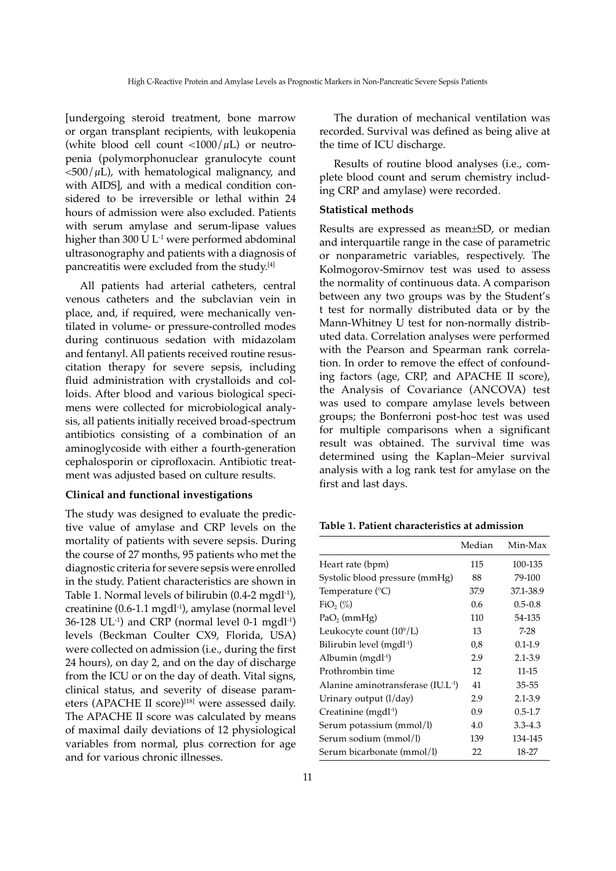[undergoing steroid treatment, bone marrow or organ transplant recipients, with leukopenia (white blood cell count  $\langle 1000/\mu L \rangle$  or neutropenia (polymorphonuclear granulocyte count  $<$ 500/ $\mu$ L), with hematological malignancy, and with AIDS], and with a medical condition considered to be irreversible or lethal within 24 hours of admission were also excluded. Patients with serum amylase and serum-lipase values higher than 300 U L<sup>-1</sup> were performed abdominal ultrasonography and patients with a diagnosis of pancreatitis were excluded from the study.[4]

All patients had arterial catheters, central venous catheters and the subclavian vein in place, and, if required, were mechanically ventilated in volume- or pressure-controlled modes during continuous sedation with midazolam and fentanyl. All patients received routine resuscitation therapy for severe sepsis, including fluid administration with crystalloids and colloids. After blood and various biological specimens were collected for microbiological analysis, all patients initially received broad-spectrum antibiotics consisting of a combination of an aminoglycoside with either a fourth-generation cephalosporin or ciprofloxacin. Antibiotic treatment was adjusted based on culture results.

# **Clinical and functional investigations**

The study was designed to evaluate the predictive value of amylase and CRP levels on the mortality of patients with severe sepsis. During the course of 27 months, 95 patients who met the diagnostic criteria for severe sepsis were enrolled in the study. Patient characteristics are shown in Table 1. Normal levels of bilirubin  $(0.4-2 \text{ mgdl}^{-1})$ , creatinine  $(0.6-1.1 \text{ mgdl}^{-1})$ , amylase (normal level  $36-128$  UL<sup>-1</sup>) and CRP (normal level 0-1 mgdl<sup>-1</sup>) levels (Beckman Coulter CX9, Florida, USA) were collected on admission (i.e., during the first 24 hours), on day 2, and on the day of discharge from the ICU or on the day of death. Vital signs, clinical status, and severity of disease parameters (APACHE II score)<sup>[18]</sup> were assessed daily. The APACHE II score was calculated by means of maximal daily deviations of 12 physiological variables from normal, plus correction for age and for various chronic illnesses.

between any two groups was by the Student's t test for normally distributed data or by the

ing CRP and amylase) were recorded.

The duration of mechanical ventilation was recorded. Survival was defined as being alive at

Results of routine blood analyses (i.e., complete blood count and serum chemistry includ-

Results are expressed as mean±SD, or median and interquartile range in the case of parametric or nonparametric variables, respectively. The Kolmogorov-Smirnov test was used to assess the normality of continuous data. A comparison

the time of ICU discharge.

**Statistical methods**

Mann-Whitney U test for non-normally distributed data. Correlation analyses were performed with the Pearson and Spearman rank correlation. In order to remove the effect of confounding factors (age, CRP, and APACHE II score), the Analysis of Covariance (ANCOVA) test was used to compare amylase levels between groups; the Bonferroni post-hoc test was used for multiple comparisons when a significant result was obtained. The survival time was determined using the Kaplan–Meier survival analysis with a log rank test for amylase on the first and last days.

| Table 1. Patient characteristics at admission |
|-----------------------------------------------|
|-----------------------------------------------|

|                                               | Median | Min-Max     |
|-----------------------------------------------|--------|-------------|
| Heart rate (bpm)                              | 115    | 100-135     |
| Systolic blood pressure (mmHg)                | 88     | 79-100      |
| Temperature (°C)                              | 37.9   | 37.1-38.9   |
| $FiO2(\%)$                                    | 0.6    | $0.5 - 0.8$ |
| $PaO$ <sub>2</sub> (mmHg)                     | 110    | 54-135      |
| Leukocyte count $(10^9/L)$                    | 13     | $7-28$      |
| Bilirubin level (mgdl <sup>-1</sup> )         | 0,8    | $0.1 - 1.9$ |
| Albumin (mgdl <sup>-1</sup> )                 | 2.9    | 2.1-3.9     |
| Prothrombin time                              | 12     | 11-15       |
| Alanine aminotransferase (IU.L <sup>1</sup> ) | 41     | $35 - 55$   |
| Urinary output (l/day)                        | 2.9    | 2.1-3.9     |
| Creatinine (mgdl <sup>-1</sup> )              | 0.9    | $0.5 - 1.7$ |
| Serum potassium (mmol/l)                      | 4.0    | $3.3 - 4.3$ |
| Serum sodium (mmol/l)                         | 139    | 134-145     |
| Serum bicarbonate (mmol/l)                    | 22     | 18-27       |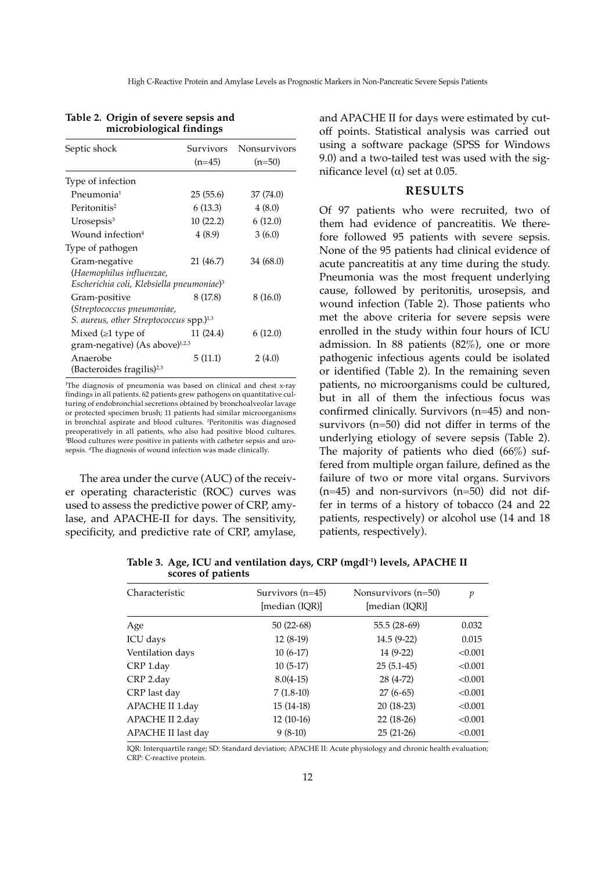| Septic shock                                          |           | Survivors Nonsurvivors |
|-------------------------------------------------------|-----------|------------------------|
|                                                       | $(n=45)$  | $(n=50)$               |
| Type of infection                                     |           |                        |
| Pneumonia <sup>1</sup>                                | 25(55.6)  | 37 (74.0)              |
| Peritonitis <sup>2</sup>                              | 6(13.3)   | 4(8.0)                 |
| $U$ rosepsis $3$                                      | 10(22.2)  | 6(12.0)                |
| Wound infection <sup>4</sup>                          | 4(8.9)    | 3(6.0)                 |
| Type of pathogen                                      |           |                        |
| Gram-negative                                         | 21 (46.7) | 34 (68.0)              |
| (Haemophilus influenzae,                              |           |                        |
| Escherichia coli, Klebsiella pneumoniae) <sup>3</sup> |           |                        |
| Gram-positive                                         | 8 (17.8)  | 8(16.0)                |
| (Streptococcus pneumoniae,                            |           |                        |
| S. aureus, other Streptococcus spp.) <sup>1,3</sup>   |           |                        |
| Mixed $( \geq 1$ type of                              | 11 (24.4) | 6(12.0)                |
| gram-negative) (As above) <sup>1,2,3</sup>            |           |                        |
| Anaerobe                                              | 5(11.1)   | 2(4.0)                 |
| (Bacteroides fragilis) <sup>2,3</sup>                 |           |                        |

# **Table 2. Origin of severe sepsis and microbiological findings**

1 The diagnosis of pneumonia was based on clinical and chest x-ray findings in all patients. 62 patients grew pathogens on quantitative culturing of endobronchial secretions obtained by bronchoalveolar lavage or protected specimen brush; 11 patients had similar microorganisms in bronchial aspirate and blood cultures. 2 Peritonitis was diagnosed preoperatively in all patients, who also had positive blood cultures. 3 Blood cultures were positive in patients with catheter sepsis and urosepsis. 4 The diagnosis of wound infection was made clinically.

The area under the curve (AUC) of the receiver operating characteristic (ROC) curves was used to assess the predictive power of CRP, amylase, and APACHE-II for days. The sensitivity, specificity, and predictive rate of CRP, amylase, and APACHE II for days were estimated by cutoff points. Statistical analysis was carried out using a software package (SPSS for Windows 9.0) and a two-tailed test was used with the significance level ( $α$ ) set at 0.05.

## **RESULTS**

Of 97 patients who were recruited, two of them had evidence of pancreatitis. We therefore followed 95 patients with severe sepsis. None of the 95 patients had clinical evidence of acute pancreatitis at any time during the study. Pneumonia was the most frequent underlying cause, followed by peritonitis, urosepsis, and wound infection (Table 2). Those patients who met the above criteria for severe sepsis were enrolled in the study within four hours of ICU admission. In 88 patients (82%), one or more pathogenic infectious agents could be isolated or identified (Table 2). In the remaining seven patients, no microorganisms could be cultured, but in all of them the infectious focus was confirmed clinically. Survivors (n=45) and nonsurvivors (n=50) did not differ in terms of the underlying etiology of severe sepsis (Table 2). The majority of patients who died  $(66\%)$  suffered from multiple organ failure, defined as the failure of two or more vital organs. Survivors (n=45) and non-survivors (n=50) did not differ in terms of a history of tobacco (24 and 22 patients, respectively) or alcohol use (14 and 18 patients, respectively).

**Table 3. Age, ICU and ventilation days, CRP (mgdl-1) levels, APACHE II scores of patients**

| Characteristic     | Survivors $(n=45)$<br>[median (IQR)] | Nonsurvivors $(n=50)$<br>[median (IQR)] | p       |
|--------------------|--------------------------------------|-----------------------------------------|---------|
| Age                | $50(22-68)$                          | $55.5(28-69)$                           | 0.032   |
| ICU days           | $12(8-19)$                           | $14.5(9-22)$                            | 0.015   |
| Ventilation days   | $10(6-17)$                           | 14 (9-22)                               | < 0.001 |
| CRP 1.day          | $10(5-17)$                           | $25(5.1-45)$                            | < 0.001 |
| CRP 2.day          | $8.0(4-15)$                          | 28 (4-72)                               | < 0.001 |
| CRP last day       | $7(1.8-10)$                          | $27(6-65)$                              | < 0.001 |
| APACHE II 1.day    | $15(14-18)$                          | $20(18-23)$                             | < 0.001 |
| APACHE II 2.day    | $12(10-16)$                          | $22(18-26)$                             | < 0.001 |
| APACHE II last day | $9(8-10)$                            | $25(21-26)$                             | < 0.001 |

IQR: Interquartile range; SD: Standard deviation; APACHE II: Acute physiology and chronic health evaluation; CRP: C-reactive protein.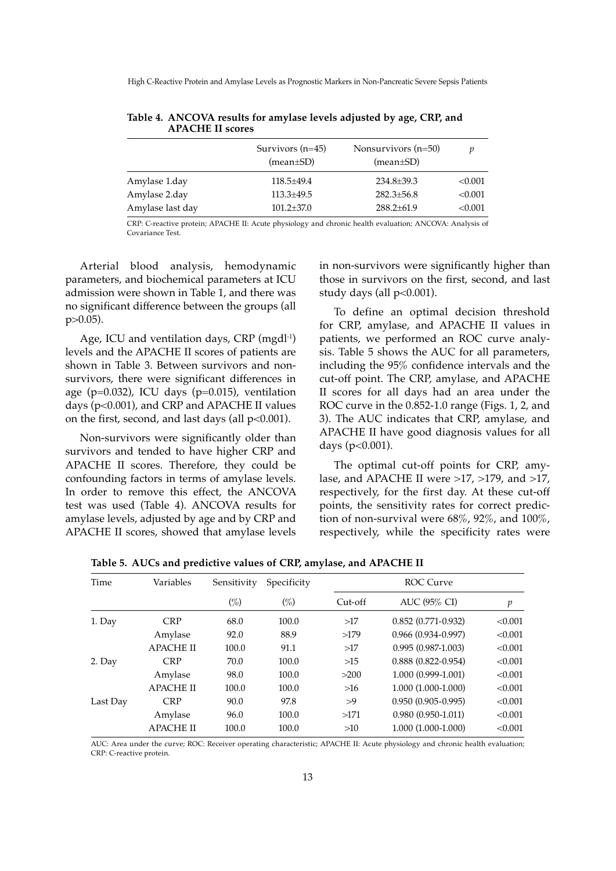High C-Reactive Protein and Amylase Levels as Prognostic Markers in Non-Pancreatic Severe Sepsis Patients

|                  | Survivors $(n=45)$<br>$(mean \pm SD)$ | Nonsurvivors $(n=50)$<br>$(mean \pm SD)$ | v       |
|------------------|---------------------------------------|------------------------------------------|---------|
| Amylase 1.day    | $118.5 \pm 49.4$                      | $234.8 \pm 39.3$                         | < 0.001 |
| Amylase 2.day    | $113.3 \pm 49.5$                      | $282.3 \pm 56.8$                         | < 0.001 |
| Amylase last day | $101.2 \pm 37.0$                      | $288.2 \pm 61.9$                         | < 0.001 |
|                  |                                       |                                          |         |

**Table 4. ANCOVA results for amylase levels adjusted by age, CRP, and APACHE II scores**

CRP: C-reactive protein; APACHE II: Acute physiology and chronic health evaluation; ANCOVA: Analysis of Covariance Test.

Arterial blood analysis, hemodynamic parameters, and biochemical parameters at ICU admission were shown in Table 1, and there was no significant difference between the groups (all p>0.05).

Age, ICU and ventilation days, CRP (mgdl<sup>-1</sup>) levels and the APACHE II scores of patients are shown in Table 3. Between survivors and nonsurvivors, there were significant differences in age ( $p=0.032$ ), ICU days ( $p=0.015$ ), ventilation days (p<0.001), and CRP and APACHE II values on the first, second, and last days (all  $p<0.001$ ).

Non-survivors were significantly older than survivors and tended to have higher CRP and APACHE II scores. Therefore, they could be confounding factors in terms of amylase levels. In order to remove this effect, the ANCOVA test was used (Table 4). ANCOVA results for amylase levels, adjusted by age and by CRP and APACHE II scores, showed that amylase levels

in non-survivors were significantly higher than those in survivors on the first, second, and last study days (all p<0.001).

To define an optimal decision threshold for CRP, amylase, and APACHE II values in patients, we performed an ROC curve analysis. Table 5 shows the AUC for all parameters, including the 95% confidence intervals and the cut-off point. The CRP, amylase, and APACHE II scores for all days had an area under the ROC curve in the 0.852-1.0 range (Figs. 1, 2, and 3). The AUC indicates that CRP, amylase, and APACHE II have good diagnosis values for all days (p<0.001).

The optimal cut-off points for CRP, amylase, and APACHE II were >17, >179, and >17, respectively, for the first day. At these cut-off points, the sensitivity rates for correct prediction of non-survival were 68%, 92%, and 100%, respectively, while the specificity rates were

**Table 5. AUCs and predictive values of CRP, amylase, and APACHE II**

| Time     | Variables        | Sensitivity | Specificity | ROC Curve |                           |         |
|----------|------------------|-------------|-------------|-----------|---------------------------|---------|
|          |                  | $(\%)$      | $(\%)$      | Cut-off   | AUC (95% CI)              | p       |
| 1. Day   | <b>CRP</b>       | 68.0        | 100.0       | >17       | $0.852(0.771-0.932)$      | < 0.001 |
|          | Amylase          | 92.0        | 88.9        | >179      | $0.966$ $(0.934 - 0.997)$ | < 0.001 |
|          | <b>APACHE II</b> | 100.0       | 91.1        | >17       | $0.995(0.987-1.003)$      | < 0.001 |
| 2. Day   | <b>CRP</b>       | 70.0        | 100.0       | $>15$     | $0.888$ $(0.822 - 0.954)$ | < 0.001 |
|          | Amylase          | 98.0        | 100.0       | >200      | 1.000 (0.999-1.001)       | < 0.001 |
|          | <b>APACHE II</b> | 100.0       | 100.0       | >16       | 1.000 (1.000-1.000)       | < 0.001 |
| Last Day | <b>CRP</b>       | 90.0        | 97.8        | >9        | $0.950(0.905 - 0.995)$    | < 0.001 |
|          | Amylase          | 96.0        | 100.0       | >171      | $0.980(0.950-1.011)$      | < 0.001 |
|          | <b>APACHE II</b> | 100.0       | 100.0       | >10       | 1.000 (1.000-1.000)       | < 0.001 |
|          |                  |             |             |           |                           |         |

AUC: Area under the curve; ROC: Receiver operating characteristic; APACHE II: Acute physiology and chronic health evaluation; CRP: C-reactive protein.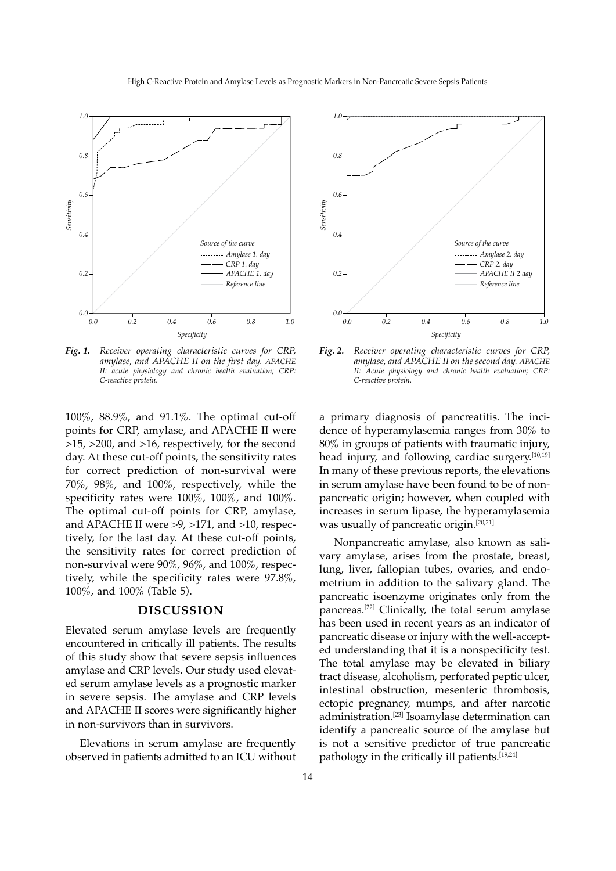

*Fig. 1. Receiver operating characteristic curves for CRP, amylase, and APACHE II on the first day. APACHE II: acute physiology and chronic health evaluation; CRP: C-reactive protein.*

100%, 88.9%, and 91.1%. The optimal cut-off points for CRP, amylase, and APACHE II were >15, >200, and >16, respectively, for the second day. At these cut-off points, the sensitivity rates for correct prediction of non-survival were 70%, 98%, and 100%, respectively, while the specificity rates were 100%, 100%, and 100%. The optimal cut-off points for CRP, amylase, and APACHE II were >9, >171, and >10, respectively, for the last day. At these cut-off points, the sensitivity rates for correct prediction of non-survival were 90%, 96%, and 100%, respectively, while the specificity rates were 97.8%, 100%, and 100% (Table 5).

# **DISCUSSION**

Elevated serum amylase levels are frequently encountered in critically ill patients. The results of this study show that severe sepsis influences amylase and CRP levels. Our study used elevated serum amylase levels as a prognostic marker in severe sepsis. The amylase and CRP levels and APACHE II scores were significantly higher in non-survivors than in survivors.

Elevations in serum amylase are frequently observed in patients admitted to an ICU without



*Fig. 2. Receiver operating characteristic curves for CRP, amylase, and APACHE II on the second day. APACHE II: Acute physiology and chronic health evaluation; CRP: C-reactive protein.*

a primary diagnosis of pancreatitis. The incidence of hyperamylasemia ranges from 30% to 80% in groups of patients with traumatic injury, head injury, and following cardiac surgery.[10,19] In many of these previous reports, the elevations in serum amylase have been found to be of nonpancreatic origin; however, when coupled with increases in serum lipase, the hyperamylasemia was usually of pancreatic origin.[20,21]

Nonpancreatic amylase, also known as salivary amylase, arises from the prostate, breast, lung, liver, fallopian tubes, ovaries, and endometrium in addition to the salivary gland. The pancreatic isoenzyme originates only from the pancreas.[22] Clinically, the total serum amylase has been used in recent years as an indicator of pancreatic disease or injury with the well-accepted understanding that it is a nonspecificity test. The total amylase may be elevated in biliary tract disease, alcoholism, perforated peptic ulcer, intestinal obstruction, mesenteric thrombosis, ectopic pregnancy, mumps, and after narcotic administration.<sup>[23]</sup> Isoamylase determination can identify a pancreatic source of the amylase but is not a sensitive predictor of true pancreatic pathology in the critically ill patients.<sup>[19,24]</sup>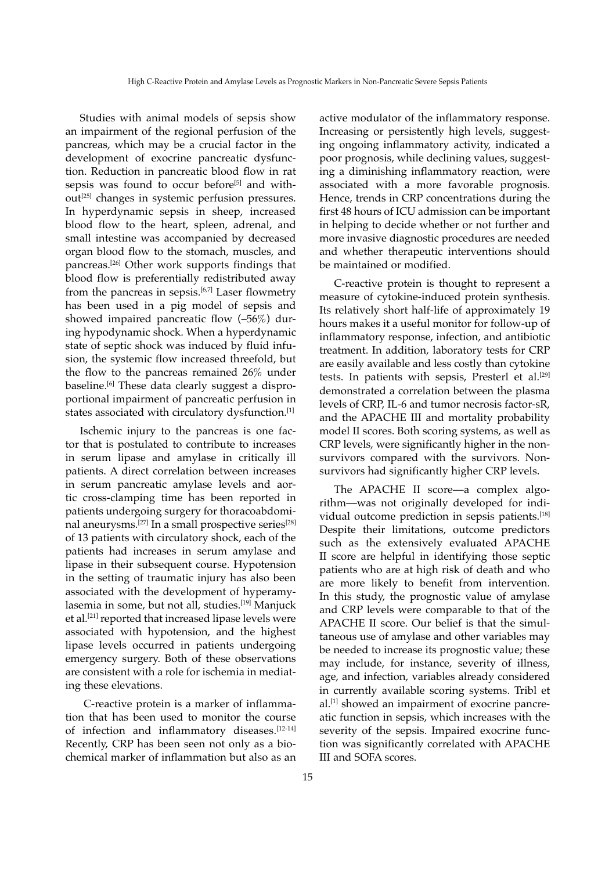Studies with animal models of sepsis show an impairment of the regional perfusion of the pancreas, which may be a crucial factor in the development of exocrine pancreatic dysfunction. Reduction in pancreatic blood flow in rat sepsis was found to occur before<sup>[5]</sup> and without<sup>[25]</sup> changes in systemic perfusion pressures. In hyperdynamic sepsis in sheep, increased blood flow to the heart, spleen, adrenal, and small intestine was accompanied by decreased organ blood flow to the stomach, muscles, and pancreas.[26] Other work supports findings that blood flow is preferentially redistributed away from the pancreas in sepsis. $[6,7]$  Laser flowmetry has been used in a pig model of sepsis and showed impaired pancreatic flow (–56%) during hypodynamic shock. When a hyperdynamic state of septic shock was induced by fluid infusion, the systemic flow increased threefold, but the flow to the pancreas remained 26% under baseline.<sup>[6]</sup> These data clearly suggest a disproportional impairment of pancreatic perfusion in states associated with circulatory dysfunction.[1]

Ischemic injury to the pancreas is one factor that is postulated to contribute to increases in serum lipase and amylase in critically ill patients. A direct correlation between increases in serum pancreatic amylase levels and aortic cross-clamping time has been reported in patients undergoing surgery for thoracoabdominal aneurysms.<sup>[27]</sup> In a small prospective series<sup>[28]</sup> of 13 patients with circulatory shock, each of the patients had increases in serum amylase and lipase in their subsequent course. Hypotension in the setting of traumatic injury has also been associated with the development of hyperamylasemia in some, but not all, studies.<sup>[19]</sup> Manjuck et al.[21] reported that increased lipase levels were associated with hypotension, and the highest lipase levels occurred in patients undergoing emergency surgery. Both of these observations are consistent with a role for ischemia in mediating these elevations.

 C-reactive protein is a marker of inflammation that has been used to monitor the course of infection and inflammatory diseases.[12-14] Recently, CRP has been seen not only as a biochemical marker of inflammation but also as an active modulator of the inflammatory response. Increasing or persistently high levels, suggesting ongoing inflammatory activity, indicated a poor prognosis, while declining values, suggesting a diminishing inflammatory reaction, were associated with a more favorable prognosis. Hence, trends in CRP concentrations during the first 48 hours of ICU admission can be important in helping to decide whether or not further and more invasive diagnostic procedures are needed and whether therapeutic interventions should be maintained or modified.

C-reactive protein is thought to represent a measure of cytokine-induced protein synthesis. Its relatively short half-life of approximately 19 hours makes it a useful monitor for follow-up of inflammatory response, infection, and antibiotic treatment. In addition, laboratory tests for CRP are easily available and less costly than cytokine tests. In patients with sepsis, Presterl et al.<sup>[29]</sup> demonstrated a correlation between the plasma levels of CRP, IL-6 and tumor necrosis factor-sR, and the APACHE III and mortality probability model II scores. Both scoring systems, as well as CRP levels, were significantly higher in the nonsurvivors compared with the survivors. Nonsurvivors had significantly higher CRP levels.

The APACHE II score—a complex algorithm—was not originally developed for individual outcome prediction in sepsis patients.[18] Despite their limitations, outcome predictors such as the extensively evaluated APACHE II score are helpful in identifying those septic patients who are at high risk of death and who are more likely to benefit from intervention. In this study, the prognostic value of amylase and CRP levels were comparable to that of the APACHE II score. Our belief is that the simultaneous use of amylase and other variables may be needed to increase its prognostic value; these may include, for instance, severity of illness, age, and infection, variables already considered in currently available scoring systems. Tribl et al.[1] showed an impairment of exocrine pancreatic function in sepsis, which increases with the severity of the sepsis. Impaired exocrine function was significantly correlated with APACHE III and SOFA scores.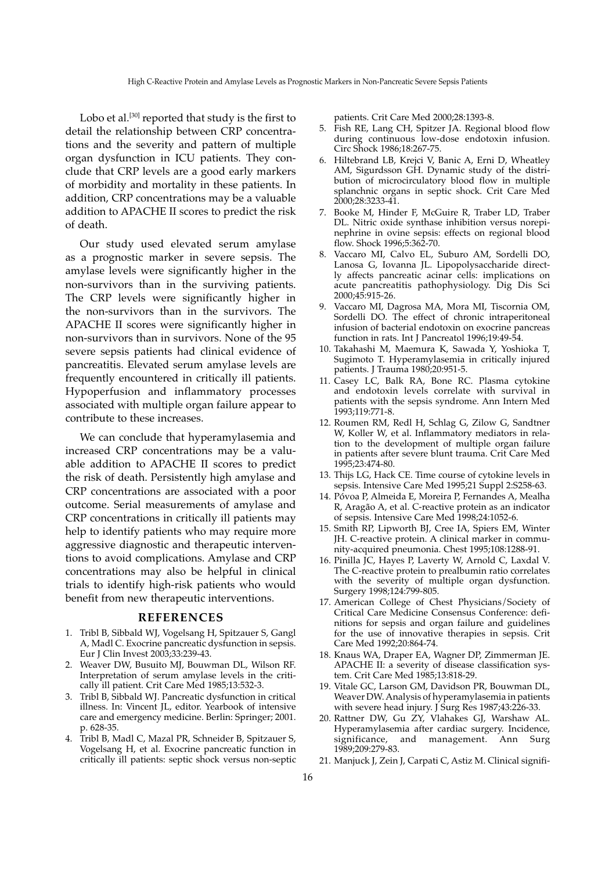Lobo et al.<sup>[30]</sup> reported that study is the first to detail the relationship between CRP concentrations and the severity and pattern of multiple organ dysfunction in ICU patients. They conclude that CRP levels are a good early markers of morbidity and mortality in these patients. In addition, CRP concentrations may be a valuable addition to APACHE II scores to predict the risk of death.

Our study used elevated serum amylase as a prognostic marker in severe sepsis. The amylase levels were significantly higher in the non-survivors than in the surviving patients. The CRP levels were significantly higher in the non-survivors than in the survivors. The APACHE II scores were significantly higher in non-survivors than in survivors. None of the 95 severe sepsis patients had clinical evidence of pancreatitis. Elevated serum amylase levels are frequently encountered in critically ill patients. Hypoperfusion and inflammatory processes associated with multiple organ failure appear to contribute to these increases.

We can conclude that hyperamylasemia and increased CRP concentrations may be a valuable addition to APACHE II scores to predict the risk of death. Persistently high amylase and CRP concentrations are associated with a poor outcome. Serial measurements of amylase and CRP concentrations in critically ill patients may help to identify patients who may require more aggressive diagnostic and therapeutic interventions to avoid complications. Amylase and CRP concentrations may also be helpful in clinical trials to identify high-risk patients who would benefit from new therapeutic interventions.

# **REFERENCES**

- 1. Tribl B, Sibbald WJ, Vogelsang H, Spitzauer S, Gangl A, Madl C. Exocrine pancreatic dysfunction in sepsis. Eur J Clin Invest 2003;33:239-43.
- 2. Weaver DW, Busuito MJ, Bouwman DL, Wilson RF. Interpretation of serum amylase levels in the critically ill patient. Crit Care Med 1985;13:532-3.
- Tribl B, Sibbald WJ. Pancreatic dysfunction in critical illness. In: Vincent JL, editor. Yearbook of intensive care and emergency medicine. Berlin: Springer; 2001. p. 628-35.
- 4. Tribl B, Madl C, Mazal PR, Schneider B, Spitzauer S, Vogelsang H, et al. Exocrine pancreatic function in critically ill patients: septic shock versus non-septic

patients. Crit Care Med 2000;28:1393-8.

- 5. Fish RE, Lang CH, Spitzer JA. Regional blood flow during continuous low-dose endotoxin infusion. Circ Shock 1986;18:267-75.
- 6. Hiltebrand LB, Krejci V, Banic A, Erni D, Wheatley AM, Sigurdsson GH. Dynamic study of the distribution of microcirculatory blood flow in multiple splanchnic organs in septic shock. Crit Care Med 2000;28:3233-41.
- 7. Booke M, Hinder F, McGuire R, Traber LD, Traber DL. Nitric oxide synthase inhibition versus norepinephrine in ovine sepsis: effects on regional blood flow. Shock 1996;5:362-70.
- 8. Vaccaro MI, Calvo EL, Suburo AM, Sordelli DO, Lanosa G, Iovanna JL. Lipopolysaccharide directly affects pancreatic acinar cells: implications on acute pancreatitis pathophysiology. Dig Dis Sci 2000;45:915-26.
- 9. Vaccaro MI, Dagrosa MA, Mora MI, Tiscornia OM, Sordelli DO. The effect of chronic intraperitoneal infusion of bacterial endotoxin on exocrine pancreas function in rats. Int J Pancreatol 1996;19:49-54.
- 10. Takahashi M, Maemura K, Sawada Y, Yoshioka T, Sugimoto T. Hyperamylasemia in critically injured patients. J Trauma 1980;20:951-5.
- 11. Casey LC, Balk RA, Bone RC. Plasma cytokine and endotoxin levels correlate with survival in patients with the sepsis syndrome. Ann Intern Med 1993;119:771-8.
- 12. Roumen RM, Redl H, Schlag G, Zilow G, Sandtner W, Koller W, et al. Inflammatory mediators in relation to the development of multiple organ failure in patients after severe blunt trauma. Crit Care Med 1995;23:474-80.
- 13. Thijs LG, Hack CE. Time course of cytokine levels in sepsis. Intensive Care Med 1995;21 Suppl 2:S258-63.
- 14. Póvoa P, Almeida E, Moreira P, Fernandes A, Mealha R, Aragão A, et al. C-reactive protein as an indicator of sepsis. Intensive Care Med 1998;24:1052-6.
- 15. Smith RP, Lipworth BJ, Cree IA, Spiers EM, Winter JH. C-reactive protein. A clinical marker in community-acquired pneumonia. Chest 1995;108:1288-91.
- 16. Pinilla JC, Hayes P, Laverty W, Arnold C, Laxdal V. The C-reactive protein to prealbumin ratio correlates with the severity of multiple organ dysfunction. Surgery 1998;124:799-805.
- 17. American College of Chest Physicians/Society of Critical Care Medicine Consensus Conference: definitions for sepsis and organ failure and guidelines for the use of innovative therapies in sepsis. Crit Care Med 1992;20:864-74.
- 18. Knaus WA, Draper EA, Wagner DP, Zimmerman JE. APACHE II: a severity of disease classification system. Crit Care Med 1985;13:818-29.
- 19. Vitale GC, Larson GM, Davidson PR, Bouwman DL, Weaver DW. Analysis of hyperamylasemia in patients with severe head injury. J Surg Res 1987;43:226-33.
- 20. Rattner DW, Gu ZY, Vlahakes GJ, Warshaw AL. Hyperamylasemia after cardiac surgery. Incidence, significance, and management. Ann Surg 1989;209:279-83.
- 21. Manjuck J, Zein J, Carpati C, Astiz M. Clinical signifi-